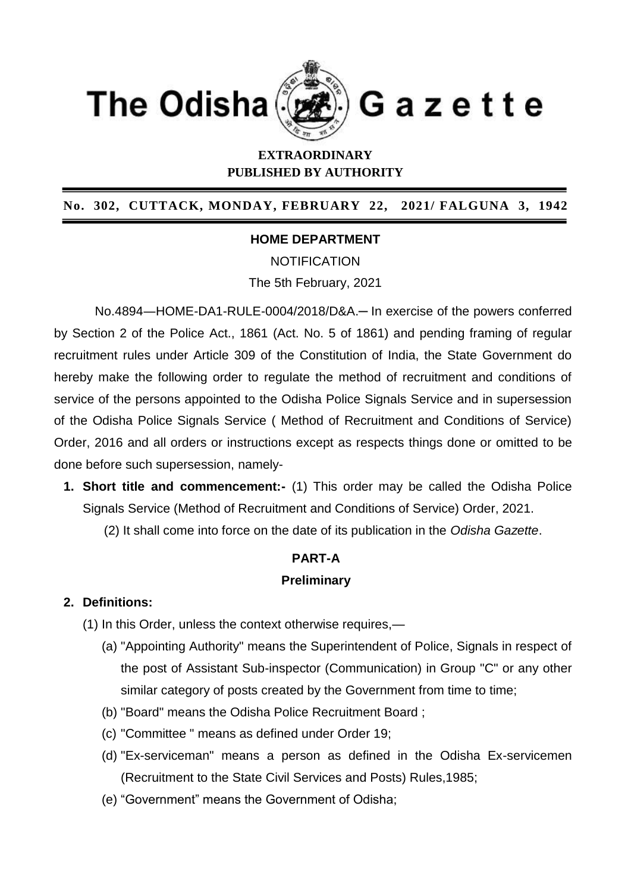

# **EXTRAORDINARY PUBLISHED BY AUTHORITY**

#### **No. 302, CUTTACK, MONDAY, FEBRUARY 22, 2021/ FALGUNA 3, 1942**

## **HOME DEPARTMENT**

**NOTIFICATION** The 5th February, 2021

No.4894―HOME-DA1-RULE-0004/2018/D&A.─ In exercise of the powers conferred by Section 2 of the Police Act., 1861 (Act. No. 5 of 1861) and pending framing of regular recruitment rules under Article 309 of the Constitution of India, the State Government do hereby make the following order to regulate the method of recruitment and conditions of service of the persons appointed to the Odisha Police Signals Service and in supersession of the Odisha Police Signals Service ( Method of Recruitment and Conditions of Service) Order, 2016 and all orders or instructions except as respects things done or omitted to be done before such supersession, namely-

- **1. Short title and commencement:-** (1) This order may be called the Odisha Police Signals Service (Method of Recruitment and Conditions of Service) Order, 2021.
	- (2) It shall come into force on the date of its publication in the *Odisha Gazette*.

# **PART-A Preliminary**

## **2. Definitions:**

- (1) In this Order, unless the context otherwise requires,—
	- (a) "Appointing Authority" means the Superintendent of Police, Signals in respect of the post of Assistant Sub-inspector (Communication) in Group "C" or any other similar category of posts created by the Government from time to time;
	- (b) "Board" means the Odisha Police Recruitment Board ;
	- (c) "Committee " means as defined under Order 19;
	- (d) "Ex-serviceman" means a person as defined in the Odisha Ex-servicemen (Recruitment to the State Civil Services and Posts) Rules,1985;
	- (e) "Government" means the Government of Odisha;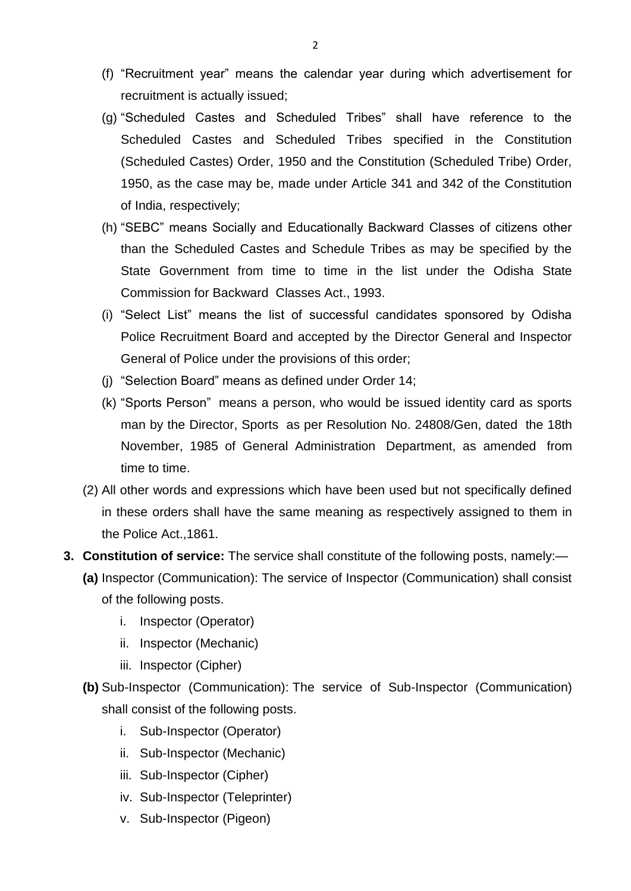- (f) "Recruitment year" means the calendar year during which advertisement for recruitment is actually issued;
- (g) "Scheduled Castes and Scheduled Tribes" shall have reference to the Scheduled Castes and Scheduled Tribes specified in the Constitution (Scheduled Castes) Order, 1950 and the Constitution (Scheduled Tribe) Order, 1950, as the case may be, made under Article 341 and 342 of the Constitution of India, respectively;
- (h) "SEBC" means Socially and Educationally Backward Classes of citizens other than the Scheduled Castes and Schedule Tribes as may be specified by the State Government from time to time in the list under the Odisha State Commission for Backward Classes Act., 1993.
- (i) "Select List" means the list of successful candidates sponsored by Odisha Police Recruitment Board and accepted by the Director General and Inspector General of Police under the provisions of this order;
- (j) "Selection Board" means as defined under Order 14;
- (k) "Sports Person" means a person, who would be issued identity card as sports man by the Director, Sports as per Resolution No. 24808/Gen, dated the 18th November, 1985 of General Administration Department, as amended from time to time.
- (2) All other words and expressions which have been used but not specifically defined in these orders shall have the same meaning as respectively assigned to them in the Police Act.,1861.
- **3. Constitution of service:** The service shall constitute of the following posts, namely:—
	- **(a)** Inspector (Communication): The service of Inspector (Communication) shall consist of the following posts.
		- i. Inspector (Operator)
		- ii. Inspector (Mechanic)
		- iii. Inspector (Cipher)
	- **(b)** Sub-Inspector (Communication): The service of Sub-Inspector (Communication) shall consist of the following posts.
		- i. Sub-Inspector (Operator)
		- ii. Sub-Inspector (Mechanic)
		- iii. Sub-Inspector (Cipher)
		- iv. Sub-Inspector (Teleprinter)
		- v. Sub-Inspector (Pigeon)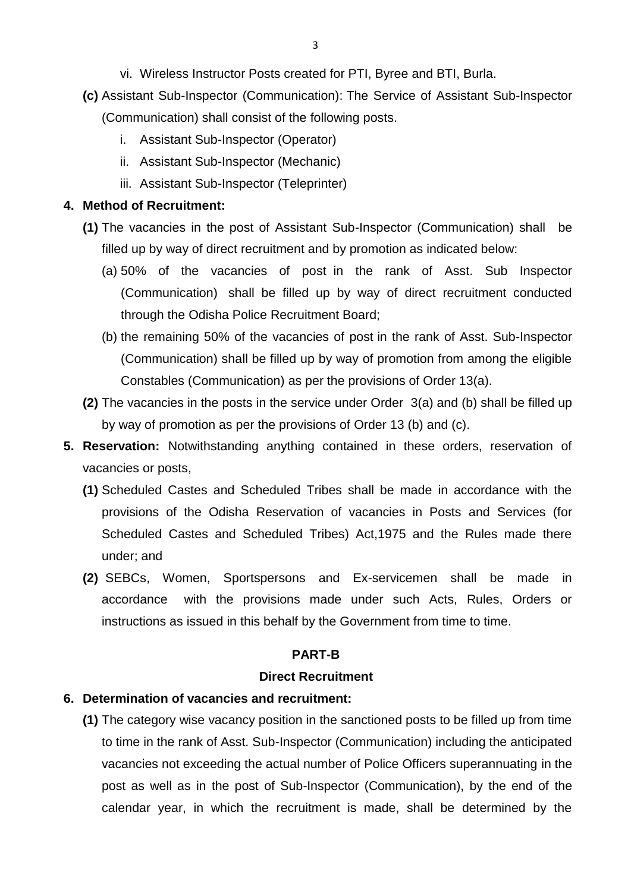- vi. Wireless Instructor Posts created for PTI, Byree and BTI, Burla.
- **(c)** Assistant Sub-Inspector (Communication): The Service of Assistant Sub-Inspector (Communication) shall consist of the following posts.
	- i. Assistant Sub-Inspector (Operator)
	- ii. Assistant Sub-Inspector (Mechanic)
	- iii. Assistant Sub-Inspector (Teleprinter)

#### **4. Method of Recruitment:**

- **(1)** The vacancies in the post of Assistant Sub-Inspector (Communication) shall be filled up by way of direct recruitment and by promotion as indicated below:
	- (a) 50% of the vacancies of post in the rank of Asst. Sub Inspector (Communication) shall be filled up by way of direct recruitment conducted through the Odisha Police Recruitment Board;
	- (b) the remaining 50% of the vacancies of post in the rank of Asst. Sub-Inspector (Communication) shall be filled up by way of promotion from among the eligible Constables (Communication) as per the provisions of Order 13(a).
- **(2)** The vacancies in the posts in the service under Order 3(a) and (b) shall be filled up by way of promotion as per the provisions of Order 13 (b) and (c).
- **5. Reservation:** Notwithstanding anything contained in these orders, reservation of vacancies or posts,
	- **(1)** Scheduled Castes and Scheduled Tribes shall be made in accordance with the provisions of the Odisha Reservation of vacancies in Posts and Services (for Scheduled Castes and Scheduled Tribes) Act,1975 and the Rules made there under; and
	- **(2)** SEBCs, Women, Sportspersons and Ex-servicemen shall be made in accordance with the provisions made under such Acts, Rules, Orders or instructions as issued in this behalf by the Government from time to time.

#### **PART-B**

#### **Direct Recruitment**

#### **6. Determination of vacancies and recruitment:**

**(1)** The category wise vacancy position in the sanctioned posts to be filled up from time to time in the rank of Asst. Sub-Inspector (Communication) including the anticipated vacancies not exceeding the actual number of Police Officers superannuating in the post as well as in the post of Sub-Inspector (Communication), by the end of the calendar year, in which the recruitment is made, shall be determined by the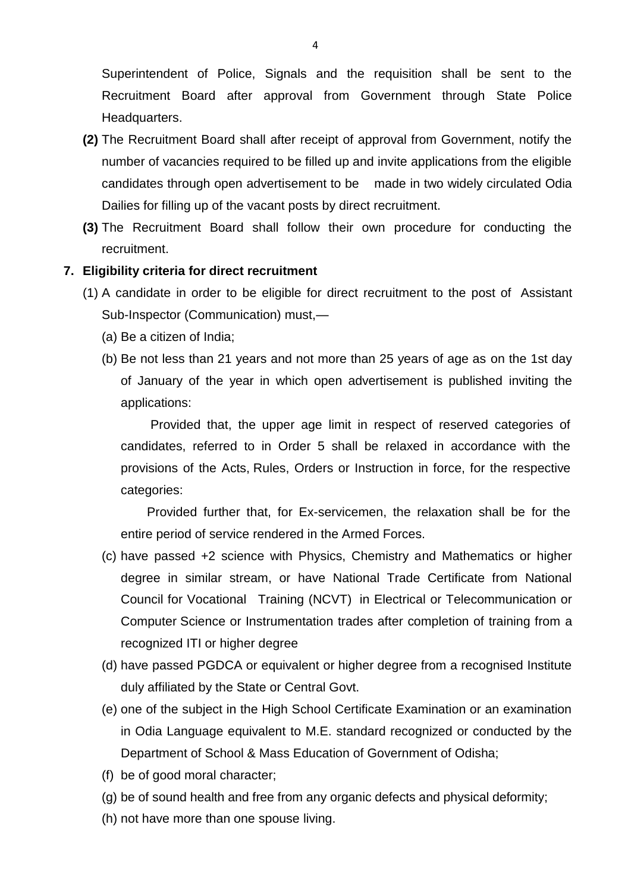Superintendent of Police, Signals and the requisition shall be sent to the Recruitment Board after approval from Government through State Police Headquarters.

- **(2)** The Recruitment Board shall after receipt of approval from Government, notify the number of vacancies required to be filled up and invite applications from the eligible candidates through open advertisement to be made in two widely circulated Odia Dailies for filling up of the vacant posts by direct recruitment.
- **(3)** The Recruitment Board shall follow their own procedure for conducting the recruitment.

#### **7. Eligibility criteria for direct recruitment**

- (1) A candidate in order to be eligible for direct recruitment to the post of Assistant Sub-Inspector (Communication) must,—
	- (a) Be a citizen of India;
	- (b) Be not less than 21 years and not more than 25 years of age as on the 1st day of January of the year in which open advertisement is published inviting the applications:

 Provided that, the upper age limit in respect of reserved categories of candidates, referred to in Order 5 shall be relaxed in accordance with the provisions of the Acts, Rules, Orders or Instruction in force, for the respective categories:

 Provided further that, for Ex-servicemen, the relaxation shall be for the entire period of service rendered in the Armed Forces.

- (c) have passed +2 science with Physics, Chemistry and Mathematics or higher degree in similar stream, or have National Trade Certificate from National Council for Vocational Training (NCVT) in Electrical or Telecommunication or Computer Science or Instrumentation trades after completion of training from a recognized ITI or higher degree
- (d) have passed PGDCA or equivalent or higher degree from a recognised Institute duly affiliated by the State or Central Govt.
- (e) one of the subject in the High School Certificate Examination or an examination in Odia Language equivalent to M.E. standard recognized or conducted by the Department of School & Mass Education of Government of Odisha;
- (f) be of good moral character;
- (g) be of sound health and free from any organic defects and physical deformity;
- (h) not have more than one spouse living.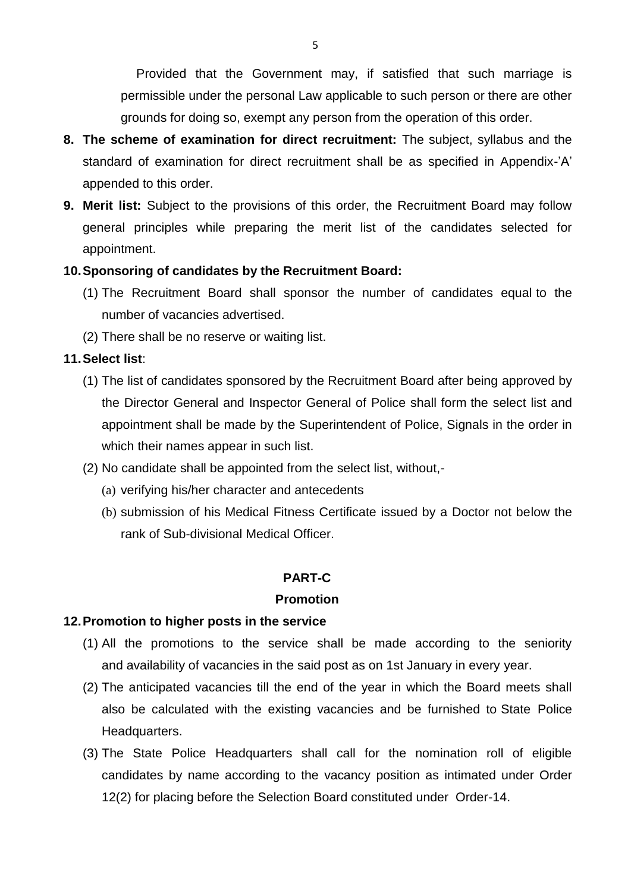Provided that the Government may, if satisfied that such marriage is permissible under the personal Law applicable to such person or there are other grounds for doing so, exempt any person from the operation of this order.

- **8. The scheme of examination for direct recruitment:** The subject, syllabus and the standard of examination for direct recruitment shall be as specified in Appendix-'A' appended to this order.
- **9. Merit list:** Subject to the provisions of this order, the Recruitment Board may follow general principles while preparing the merit list of the candidates selected for appointment.

#### **10.Sponsoring of candidates by the Recruitment Board:**

- (1) The Recruitment Board shall sponsor the number of candidates equal to the number of vacancies advertised.
- (2) There shall be no reserve or waiting list.

### **11.Select list**:

- (1) The list of candidates sponsored by the Recruitment Board after being approved by the Director General and Inspector General of Police shall form the select list and appointment shall be made by the Superintendent of Police, Signals in the order in which their names appear in such list.
- (2) No candidate shall be appointed from the select list, without,-
	- (a) verifying his/her character and antecedents
	- (b) submission of his Medical Fitness Certificate issued by a Doctor not below the rank of Sub-divisional Medical Officer.

#### **PART-C**

#### **Promotion**

#### **12.Promotion to higher posts in the service**

- (1) All the promotions to the service shall be made according to the seniority and availability of vacancies in the said post as on 1st January in every year.
- (2) The anticipated vacancies till the end of the year in which the Board meets shall also be calculated with the existing vacancies and be furnished to State Police Headquarters.
- (3) The State Police Headquarters shall call for the nomination roll of eligible candidates by name according to the vacancy position as intimated under Order 12(2) for placing before the Selection Board constituted under Order-14.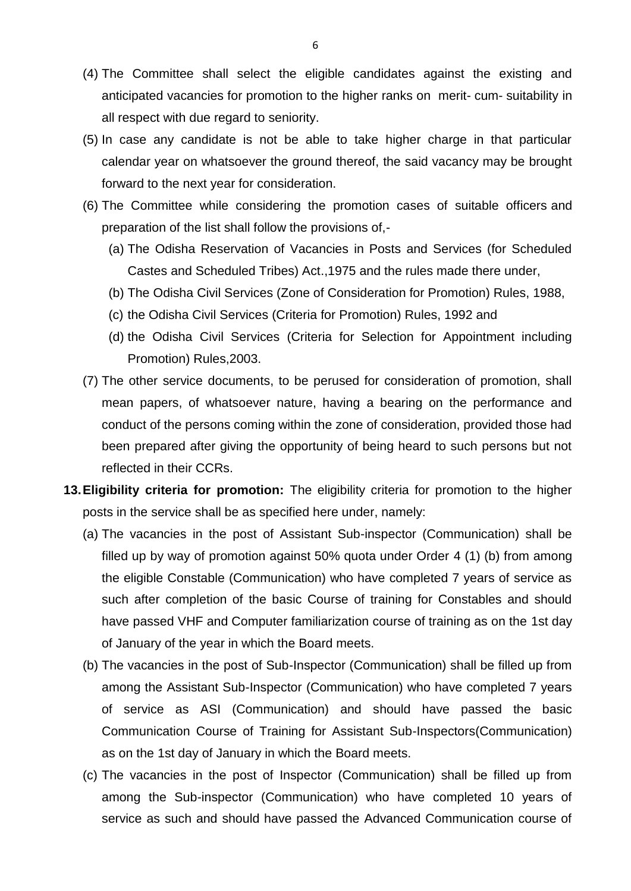- (4) The Committee shall select the eligible candidates against the existing and anticipated vacancies for promotion to the higher ranks on merit- cum- suitability in all respect with due regard to seniority.
- (5) In case any candidate is not be able to take higher charge in that particular calendar year on whatsoever the ground thereof, the said vacancy may be brought forward to the next year for consideration.
- (6) The Committee while considering the promotion cases of suitable officers and preparation of the list shall follow the provisions of,-
	- (a) The Odisha Reservation of Vacancies in Posts and Services (for Scheduled Castes and Scheduled Tribes) Act.,1975 and the rules made there under,
	- (b) The Odisha Civil Services (Zone of Consideration for Promotion) Rules, 1988,
	- (c) the Odisha Civil Services (Criteria for Promotion) Rules, 1992 and
	- (d) the Odisha Civil Services (Criteria for Selection for Appointment including Promotion) Rules,2003.
- (7) The other service documents, to be perused for consideration of promotion, shall mean papers, of whatsoever nature, having a bearing on the performance and conduct of the persons coming within the zone of consideration, provided those had been prepared after giving the opportunity of being heard to such persons but not reflected in their CCRs.
- **13.Eligibility criteria for promotion:** The eligibility criteria for promotion to the higher posts in the service shall be as specified here under, namely:
	- (a) The vacancies in the post of Assistant Sub-inspector (Communication) shall be filled up by way of promotion against 50% quota under Order 4 (1) (b) from among the eligible Constable (Communication) who have completed 7 years of service as such after completion of the basic Course of training for Constables and should have passed VHF and Computer familiarization course of training as on the 1st day of January of the year in which the Board meets.
	- (b) The vacancies in the post of Sub-Inspector (Communication) shall be filled up from among the Assistant Sub-Inspector (Communication) who have completed 7 years of service as ASI (Communication) and should have passed the basic Communication Course of Training for Assistant Sub-Inspectors(Communication) as on the 1st day of January in which the Board meets.
	- (c) The vacancies in the post of Inspector (Communication) shall be filled up from among the Sub-inspector (Communication) who have completed 10 years of service as such and should have passed the Advanced Communication course of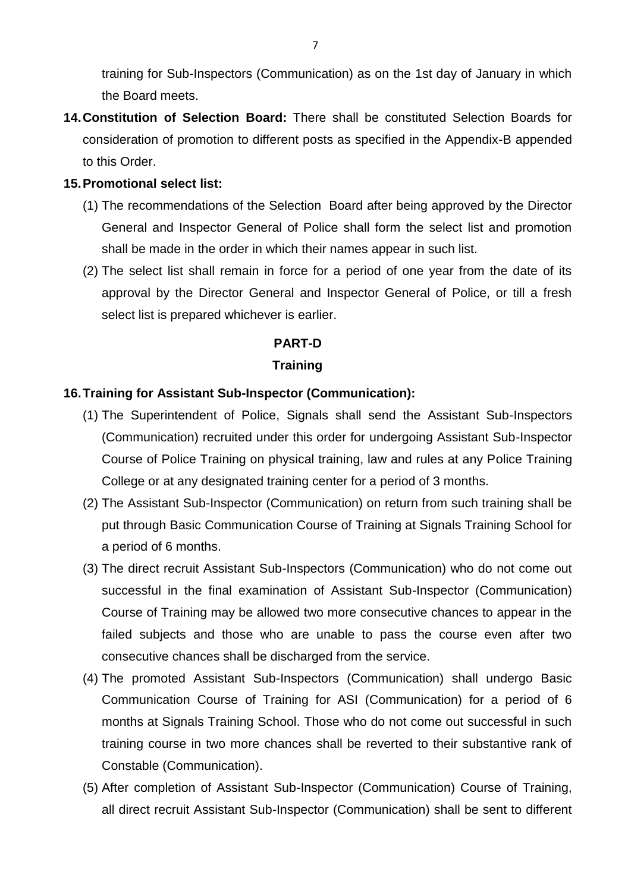training for Sub-Inspectors (Communication) as on the 1st day of January in which the Board meets.

**14.Constitution of Selection Board:** There shall be constituted Selection Boards for consideration of promotion to different posts as specified in the Appendix-B appended to this Order.

#### **15.Promotional select list:**

- (1) The recommendations of the Selection Board after being approved by the Director General and Inspector General of Police shall form the select list and promotion shall be made in the order in which their names appear in such list.
- (2) The select list shall remain in force for a period of one year from the date of its approval by the Director General and Inspector General of Police, or till a fresh select list is prepared whichever is earlier.

#### **PART-D**

#### **Training**

#### **16.Training for Assistant Sub-Inspector (Communication):**

- (1) The Superintendent of Police, Signals shall send the Assistant Sub-Inspectors (Communication) recruited under this order for undergoing Assistant Sub-Inspector Course of Police Training on physical training, law and rules at any Police Training College or at any designated training center for a period of 3 months.
- (2) The Assistant Sub-Inspector (Communication) on return from such training shall be put through Basic Communication Course of Training at Signals Training School for a period of 6 months.
- (3) The direct recruit Assistant Sub-Inspectors (Communication) who do not come out successful in the final examination of Assistant Sub-Inspector (Communication) Course of Training may be allowed two more consecutive chances to appear in the failed subjects and those who are unable to pass the course even after two consecutive chances shall be discharged from the service.
- (4) The promoted Assistant Sub-Inspectors (Communication) shall undergo Basic Communication Course of Training for ASI (Communication) for a period of 6 months at Signals Training School. Those who do not come out successful in such training course in two more chances shall be reverted to their substantive rank of Constable (Communication).
- (5) After completion of Assistant Sub-Inspector (Communication) Course of Training, all direct recruit Assistant Sub-Inspector (Communication) shall be sent to different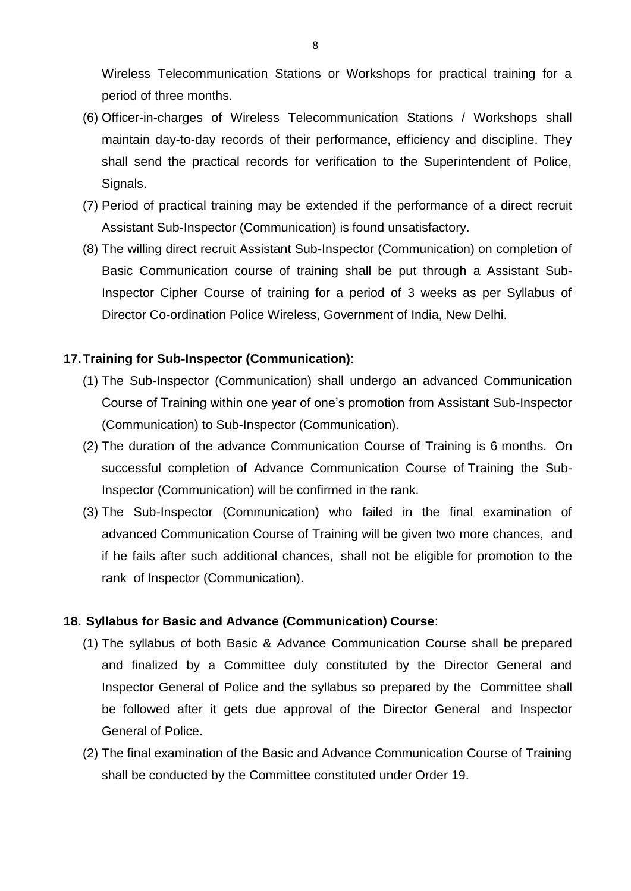Wireless Telecommunication Stations or Workshops for practical training for a period of three months.

- (6) Officer-in-charges of Wireless Telecommunication Stations / Workshops shall maintain day-to-day records of their performance, efficiency and discipline. They shall send the practical records for verification to the Superintendent of Police, Signals.
- (7) Period of practical training may be extended if the performance of a direct recruit Assistant Sub-Inspector (Communication) is found unsatisfactory.
- (8) The willing direct recruit Assistant Sub-Inspector (Communication) on completion of Basic Communication course of training shall be put through a Assistant Sub-Inspector Cipher Course of training for a period of 3 weeks as per Syllabus of Director Co-ordination Police Wireless, Government of India, New Delhi.

#### **17.Training for Sub-Inspector (Communication)**:

- (1) The Sub-Inspector (Communication) shall undergo an advanced Communication Course of Training within one year of one's promotion from Assistant Sub-Inspector (Communication) to Sub-Inspector (Communication).
- (2) The duration of the advance Communication Course of Training is 6 months. On successful completion of Advance Communication Course of Training the Sub-Inspector (Communication) will be confirmed in the rank.
- (3) The Sub-Inspector (Communication) who failed in the final examination of advanced Communication Course of Training will be given two more chances, and if he fails after such additional chances, shall not be eligible for promotion to the rank of Inspector (Communication).

#### **18. Syllabus for Basic and Advance (Communication) Course**:

- (1) The syllabus of both Basic & Advance Communication Course shall be prepared and finalized by a Committee duly constituted by the Director General and Inspector General of Police and the syllabus so prepared by the Committee shall be followed after it gets due approval of the Director General and Inspector General of Police.
- (2) The final examination of the Basic and Advance Communication Course of Training shall be conducted by the Committee constituted under Order 19.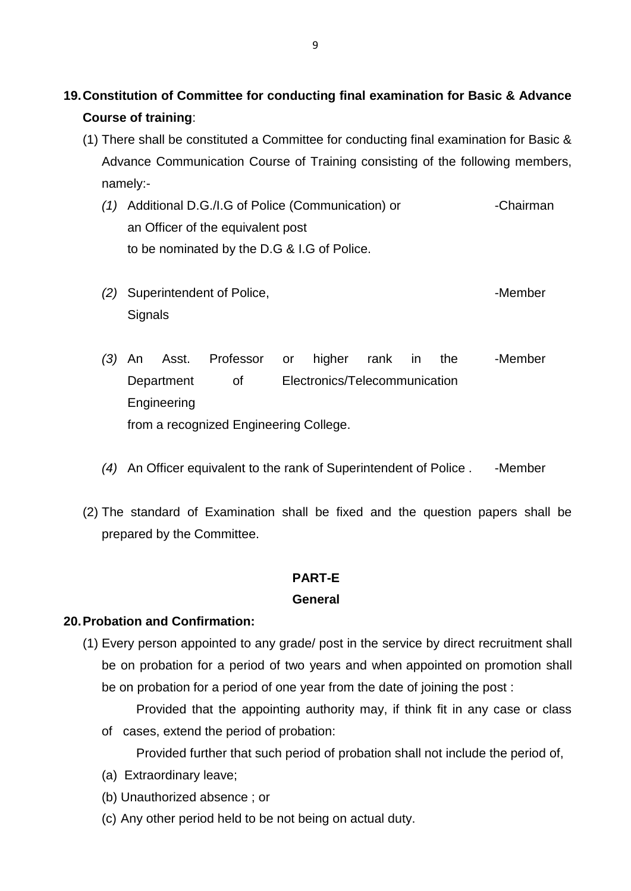# **19.Constitution of Committee for conducting final examination for Basic & Advance Course of training**:

- (1) There shall be constituted a Committee for conducting final examination for Basic & Advance Communication Course of Training consisting of the following members, namely:-
	- *(1)* Additional D.G./I.G of Police (Communication) or an Officer of the equivalent post to be nominated by the D.G & I.G of Police. -Chairman
	- *(2)* Superintendent of Police, **Signals** -Member
	- *(3)* An Asst. Professor or higher rank in the Department of Electronics/Telecommunication Engineering from a recognized Engineering College. -Member
	- *(4)* An Officer equivalent to the rank of Superintendent of Police . Member
- (2) The standard of Examination shall be fixed and the question papers shall be prepared by the Committee.

## **PART-E**

#### **General**

#### **20.Probation and Confirmation:**

- (1) Every person appointed to any grade/ post in the service by direct recruitment shall be on probation for a period of two years and when appointed on promotion shall be on probation for a period of one year from the date of joining the post :
	- Provided that the appointing authority may, if think fit in any case or class of cases, extend the period of probation:
		- Provided further that such period of probation shall not include the period of,
	- (a) Extraordinary leave;
	- (b) Unauthorized absence ; or
	- (c) Any other period held to be not being on actual duty.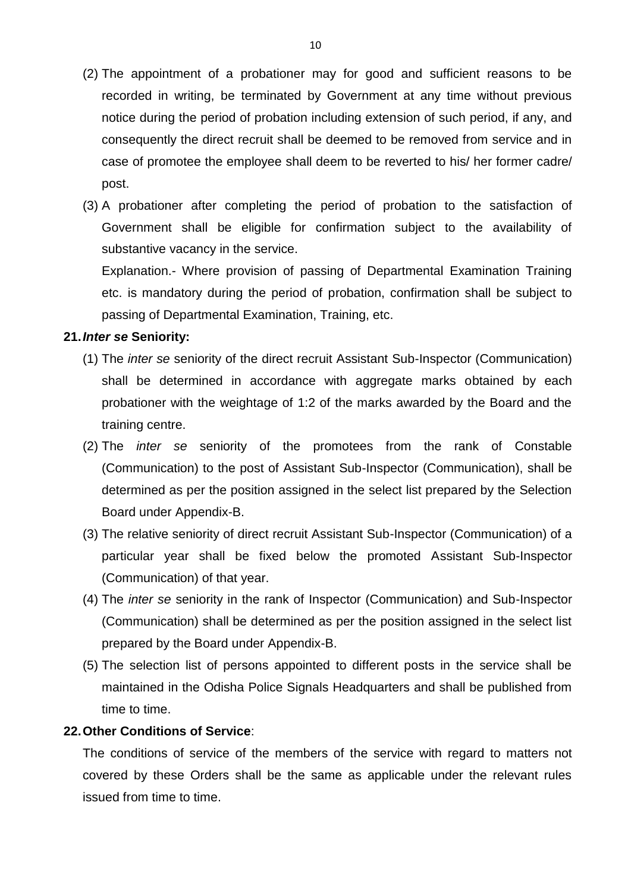- (2) The appointment of a probationer may for good and sufficient reasons to be recorded in writing, be terminated by Government at any time without previous notice during the period of probation including extension of such period, if any, and consequently the direct recruit shall be deemed to be removed from service and in case of promotee the employee shall deem to be reverted to his/ her former cadre/ post.
- (3) A probationer after completing the period of probation to the satisfaction of Government shall be eligible for confirmation subject to the availability of substantive vacancy in the service.

Explanation.- Where provision of passing of Departmental Examination Training etc. is mandatory during the period of probation, confirmation shall be subject to passing of Departmental Examination, Training, etc.

#### **21.***Inter se* **Seniority:**

- (1) The *inter se* seniority of the direct recruit Assistant Sub-Inspector (Communication) shall be determined in accordance with aggregate marks obtained by each probationer with the weightage of 1:2 of the marks awarded by the Board and the training centre.
- (2) The *inter se* seniority of the promotees from the rank of Constable (Communication) to the post of Assistant Sub-Inspector (Communication), shall be determined as per the position assigned in the select list prepared by the Selection Board under Appendix-B.
- (3) The relative seniority of direct recruit Assistant Sub-Inspector (Communication) of a particular year shall be fixed below the promoted Assistant Sub-Inspector (Communication) of that year.
- (4) The *inter se* seniority in the rank of Inspector (Communication) and Sub-Inspector (Communication) shall be determined as per the position assigned in the select list prepared by the Board under Appendix-B.
- (5) The selection list of persons appointed to different posts in the service shall be maintained in the Odisha Police Signals Headquarters and shall be published from time to time.

#### **22.Other Conditions of Service**:

The conditions of service of the members of the service with regard to matters not covered by these Orders shall be the same as applicable under the relevant rules issued from time to time.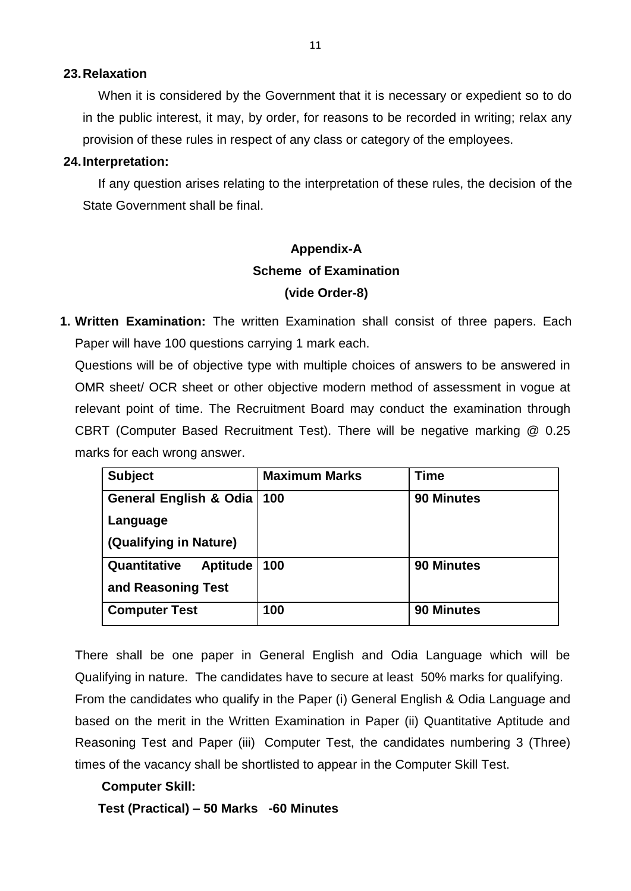#### **23.Relaxation**

When it is considered by the Government that it is necessary or expedient so to do in the public interest, it may, by order, for reasons to be recorded in writing; relax any provision of these rules in respect of any class or category of the employees.

#### **24.Interpretation:**

If any question arises relating to the interpretation of these rules, the decision of the State Government shall be final.

# **Appendix-A Scheme of Examination (vide Order-8)**

**1. Written Examination:** The written Examination shall consist of three papers. Each Paper will have 100 questions carrying 1 mark each.

Questions will be of objective type with multiple choices of answers to be answered in OMR sheet/ OCR sheet or other objective modern method of assessment in vogue at relevant point of time. The Recruitment Board may conduct the examination through CBRT (Computer Based Recruitment Test). There will be negative marking @ 0.25 marks for each wrong answer.

| <b>Subject</b>                  | <b>Maximum Marks</b> | <b>Time</b>       |
|---------------------------------|----------------------|-------------------|
| General English & Odia          | 100                  | <b>90 Minutes</b> |
| Language                        |                      |                   |
| (Qualifying in Nature)          |                      |                   |
| Quantitative<br><b>Aptitude</b> | 100                  | <b>90 Minutes</b> |
| and Reasoning Test              |                      |                   |
| <b>Computer Test</b>            | 100                  | <b>90 Minutes</b> |

There shall be one paper in General English and Odia Language which will be Qualifying in nature. The candidates have to secure at least 50% marks for qualifying. From the candidates who qualify in the Paper (i) General English & Odia Language and based on the merit in the Written Examination in Paper (ii) Quantitative Aptitude and Reasoning Test and Paper (iii) Computer Test, the candidates numbering 3 (Three) times of the vacancy shall be shortlisted to appear in the Computer Skill Test.

#### **Computer Skill:**

**Test (Practical) – 50 Marks -60 Minutes**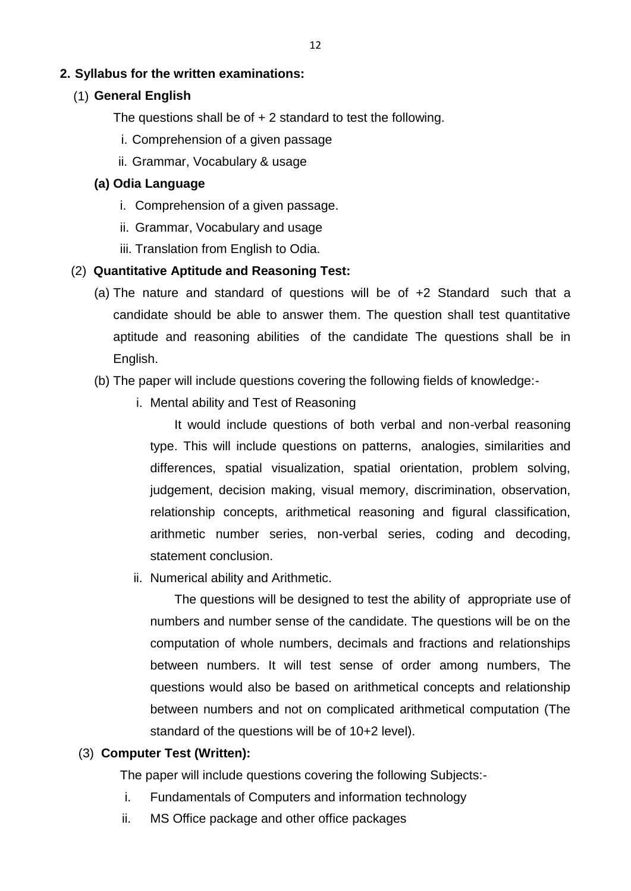## **2. Syllabus for the written examinations:**

#### **General English** (1)

The questions shall be of  $+ 2$  standard to test the following.

- i. Comprehension of a given passage
- ii. Grammar, Vocabulary & usage

### **(a) Odia Language**

- i. Comprehension of a given passage.
- ii. Grammar, Vocabulary and usage
- iii. Translation from English to Odia.

### (2) **Quantitative Aptitude and Reasoning Test:**

- (a) The nature and standard of questions will be of +2 Standard such that a candidate should be able to answer them. The question shall test quantitative aptitude and reasoning abilities of the candidate The questions shall be in English.
- (b) The paper will include questions covering the following fields of knowledge:
	- i. Mental ability and Test of Reasoning

It would include questions of both verbal and non-verbal reasoning type. This will include questions on patterns, analogies, similarities and differences, spatial visualization, spatial orientation, problem solving, judgement, decision making, visual memory, discrimination, observation, relationship concepts, arithmetical reasoning and figural classification, arithmetic number series, non-verbal series, coding and decoding, statement conclusion.

ii. Numerical ability and Arithmetic.

The questions will be designed to test the ability of appropriate use of numbers and number sense of the candidate. The questions will be on the computation of whole numbers, decimals and fractions and relationships between numbers. It will test sense of order among numbers, The questions would also be based on arithmetical concepts and relationship between numbers and not on complicated arithmetical computation (The standard of the questions will be of 10+2 level).

#### (3) **Computer Test (Written):**

The paper will include questions covering the following Subjects:-

- i. Fundamentals of Computers and information technology
- ii. MS Office package and other office packages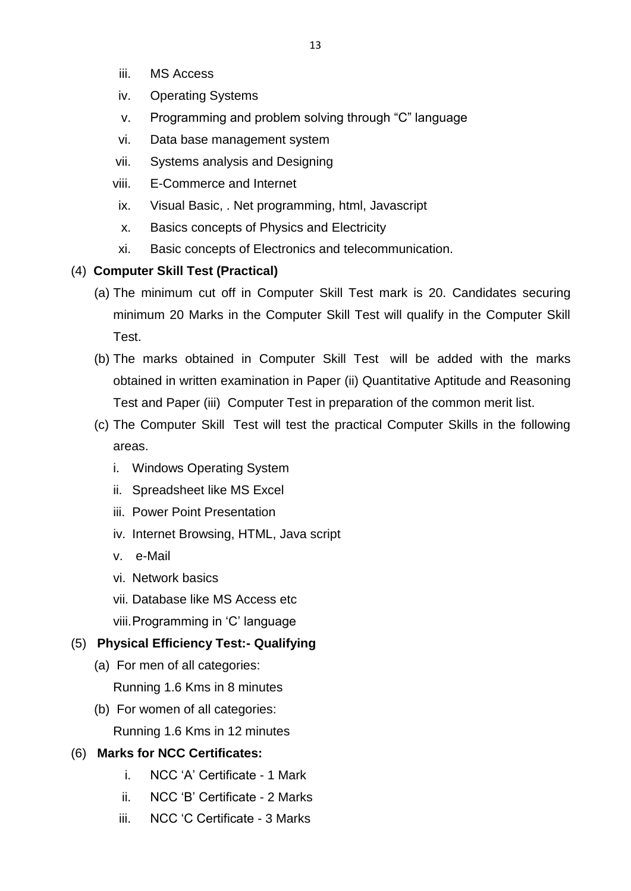- iii. MS Access
- iv. Operating Systems
- v. Programming and problem solving through "C" language
- vi. Data base management system
- vii. Systems analysis and Designing
- viii. E-Commerce and Internet
- ix. Visual Basic, . Net programming, html, Javascript
- x. Basics concepts of Physics and Electricity
- xi. Basic concepts of Electronics and telecommunication.

# (4) **Computer Skill Test (Practical)**

- (a) The minimum cut off in Computer Skill Test mark is 20. Candidates securing minimum 20 Marks in the Computer Skill Test will qualify in the Computer Skill Test.
- (b) The marks obtained in Computer Skill Test will be added with the marks obtained in written examination in Paper (ii) Quantitative Aptitude and Reasoning Test and Paper (iii) Computer Test in preparation of the common merit list.
- (c) The Computer Skill Test will test the practical Computer Skills in the following areas.
	- i. Windows Operating System
	- ii. Spreadsheet like MS Excel
	- iii. Power Point Presentation
	- iv. Internet Browsing, HTML, Java script
	- v. e-Mail
	- vi. Network basics
	- vii. Database like MS Access etc
	- viii.Programming in 'C' language

# (5) **Physical Efficiency Test:- Qualifying**

- (a) For men of all categories:
	- Running 1.6 Kms in 8 minutes
- (b) For women of all categories: Running 1.6 Kms in 12 minutes

# (6) **Marks for NCC Certificates:**

- i. NCC 'A' Certificate 1 Mark
- ii. NCC 'B' Certificate 2 Marks
- iii. NCC 'C Certificate 3 Marks